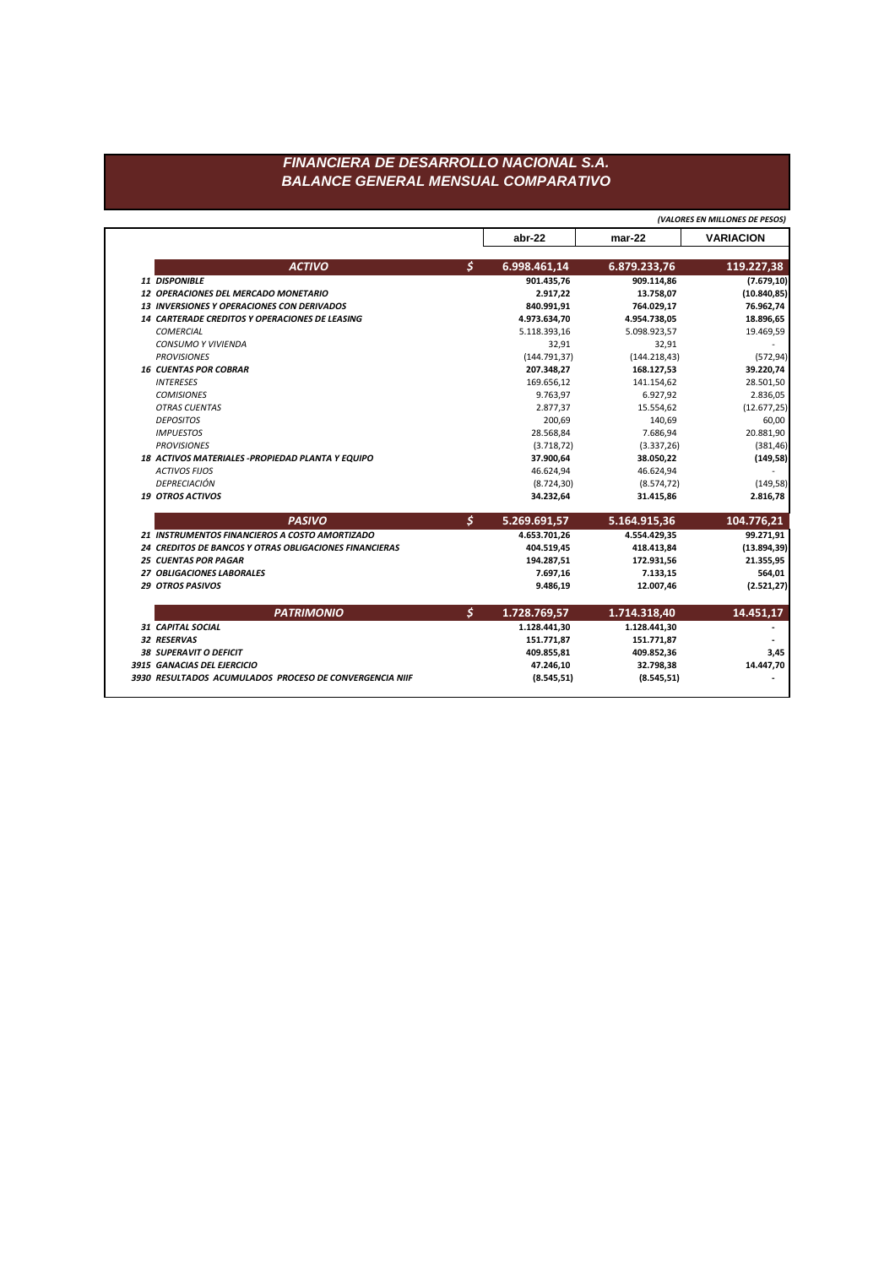|                                                        |                      | abr-22        | $mar-22$      | <b>VARIACION</b> |
|--------------------------------------------------------|----------------------|---------------|---------------|------------------|
| <b>ACTIVO</b>                                          | $\boldsymbol{\zeta}$ | 6.998.461,14  | 6.879.233,76  | 119.227,38       |
| 11 DISPONIBLE                                          |                      | 901.435,76    | 909.114,86    | (7.679, 10)      |
| 12 OPERACIONES DEL MERCADO MONETARIO                   |                      | 2.917,22      | 13.758,07     | (10.840, 85)     |
| 13 INVERSIONES Y OPERACIONES CON DERIVADOS             |                      | 840.991,91    | 764.029,17    | 76.962,74        |
| 14 CARTERADE CREDITOS Y OPERACIONES DE LEASING         |                      | 4.973.634,70  | 4.954.738,05  | 18.896,65        |
| <b>COMERCIAL</b>                                       |                      | 5.118.393,16  | 5.098.923,57  | 19.469,59        |
| <b>CONSUMO Y VIVIENDA</b>                              |                      | 32,91         | 32,91         |                  |
| <b>PROVISIONES</b>                                     |                      | (144.791, 37) | (144.218, 43) | (572, 94)        |
| <b>16 CUENTAS POR COBRAR</b>                           |                      | 207.348,27    | 168.127,53    | 39.220,74        |
| <b>INTERESES</b>                                       |                      | 169.656,12    | 141.154,62    | 28.501,50        |
| <b>COMISIONES</b>                                      |                      | 9.763,97      | 6.927,92      | 2.836,05         |
| <b>OTRAS CUENTAS</b>                                   |                      | 2.877,37      | 15.554,62     | (12.677, 25)     |
| <b>DEPOSITOS</b>                                       |                      | 200,69        | 140,69        | 60,00            |
| <b>IMPUESTOS</b>                                       |                      | 28.568,84     | 7.686,94      | 20.881,90        |
| <b>PROVISIONES</b>                                     |                      | (3.718, 72)   | (3.337, 26)   | (381, 46)        |
| 18 ACTIVOS MATERIALES - PROPIEDAD PLANTA Y EQUIPO      |                      | 37.900,64     | 38.050,22     | (149,58)         |
| <b>ACTIVOS FIJOS</b>                                   |                      | 46.624,94     | 46.624,94     |                  |
| DEPRECIACIÓN                                           |                      | (8.724, 30)   | (8.574, 72)   | (149,58)         |
| <b>19 OTROS ACTIVOS</b>                                |                      | 34.232,64     | 31.415,86     | 2.816,78         |
| <b>PASIVO</b>                                          | \$                   | 5.269.691,57  | 5.164.915,36  | 104.776,21       |
| 21 INSTRUMENTOS FINANCIEROS A COSTO AMORTIZADO         |                      | 4.653.701,26  | 4.554.429,35  | 99.271,91        |
| 24 CREDITOS DE BANCOS Y OTRAS OBLIGACIONES FINANCIERAS |                      | 404.519,45    | 418.413,84    | (13.894, 39)     |
| <b>25 CUENTAS POR PAGAR</b>                            |                      | 194.287,51    | 172.931,56    | 21.355,95        |
| 27 OBLIGACIONES LABORALES                              |                      | 7.697,16      | 7.133,15      | 564,01           |
| <b>29 OTROS PASIVOS</b>                                |                      | 9.486,19      | 12.007,46     | (2.521, 27)      |
| <b>PATRIMONIO</b>                                      | $\boldsymbol{\zeta}$ | 1.728.769,57  | 1.714.318,40  | 14.451,17        |
| 31 CAPITAL SOCIAL                                      |                      | 1.128.441,30  | 1.128.441,30  |                  |
| 32 RESERVAS                                            |                      | 151.771,87    | 151.771,87    |                  |
| <b>38 SUPERAVIT O DEFICIT</b>                          |                      | 409.855,81    | 409.852,36    | 3,45             |
|                                                        |                      |               |               |                  |
| 3915 GANACIAS DEL EJERCICIO                            |                      | 47.246,10     | 32.798,38     | 14.447,70        |

*(VALORES EN MILLONES DE PESOS)*

## *FINANCIERA DE DESARROLLO NACIONAL S.A. BALANCE GENERAL MENSUAL COMPARATIVO*